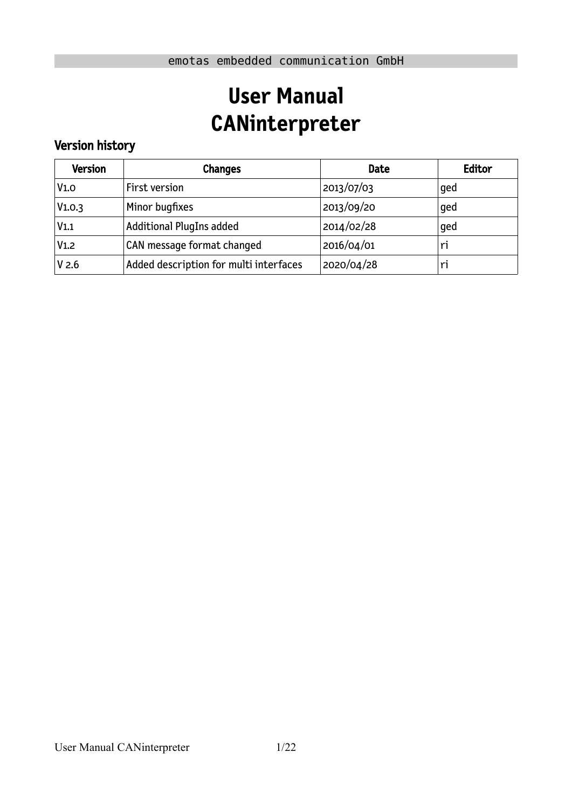# **User Manual CANinterpreter**

# Version history

| <b>Version</b>   | <b>Changes</b>                         | <b>Date</b> | Editor |
|------------------|----------------------------------------|-------------|--------|
| V1.0             | First version                          | 2013/07/03  | qed    |
| V1.0.3           | Minor bugfixes                         | 2013/09/20  | qed    |
| V <sub>1.1</sub> | <b>Additional PlugIns added</b>        | 2014/02/28  | qed    |
| V <sub>1.2</sub> | CAN message format changed             | 2016/04/01  | ri     |
| V <sub>2.6</sub> | Added description for multi interfaces | 2020/04/28  | ri     |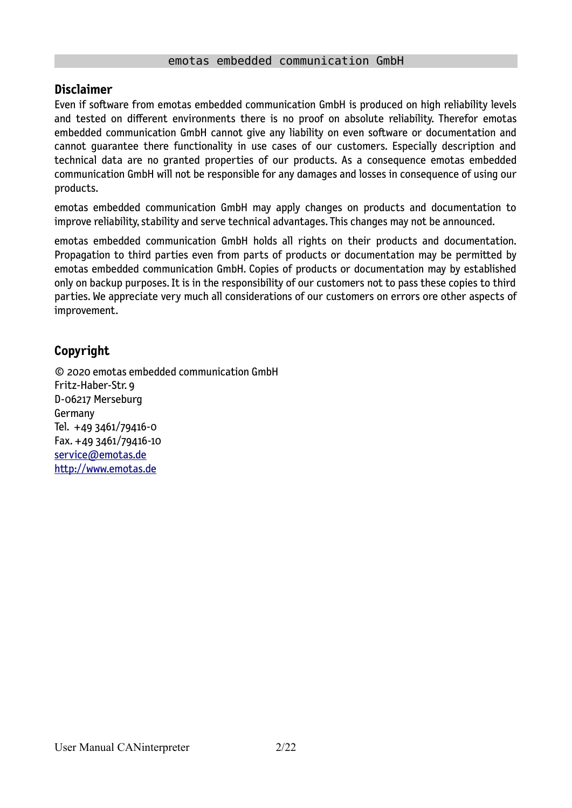#### emotas embedded communication GmbH

#### **Disclaimer**

Even if software from emotas embedded communication GmbH is produced on high reliability levels and tested on different environments there is no proof on absolute reliability. Therefor emotas embedded communication GmbH cannot give any liability on even software or documentation and cannot guarantee there functionality in use cases of our customers. Especially description and technical data are no granted properties of our products. As a consequence emotas embedded communication GmbH will not be responsible for any damages and losses in consequence of using our products.

emotas embedded communication GmbH may apply changes on products and documentation to improve reliability, stability and serve technical advantages. This changes may not be announced.

emotas embedded communication GmbH holds all rights on their products and documentation. Propagation to third parties even from parts of products or documentation may be permitted by emotas embedded communication GmbH. Copies of products or documentation may by established only on backup purposes. It is in the responsibility of our customers not to pass these copies to third parties. We appreciate very much all considerations of our customers on errors ore other aspects of improvement.

# **Copyright**

© 2020 emotas embedded communication GmbH Fritz-Haber-Str. 9 D-06217 Merseburg Germany Tel. +49 3461/79416-0 Fax. +49 3461/79416-10  [service@](mailto:service@emtas.de) [emotas.de](mailto:service@emotas.de) http://www.emotas.de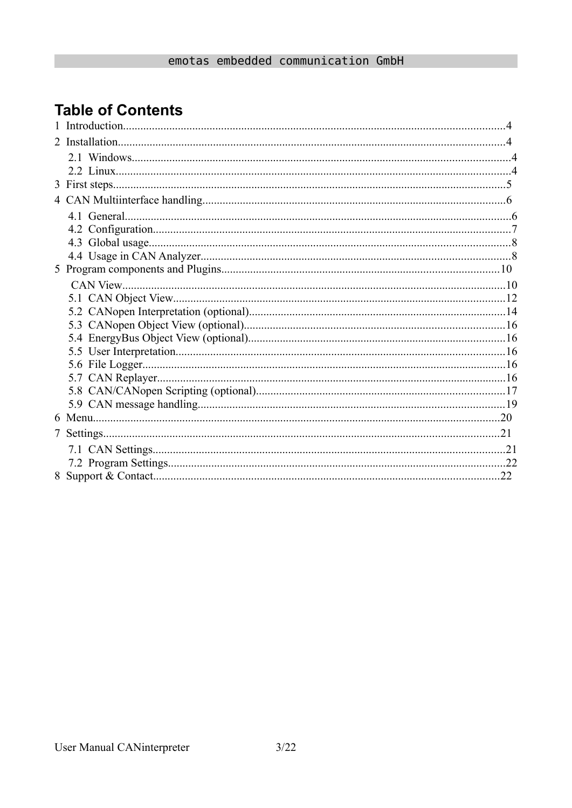# **Table of Contents**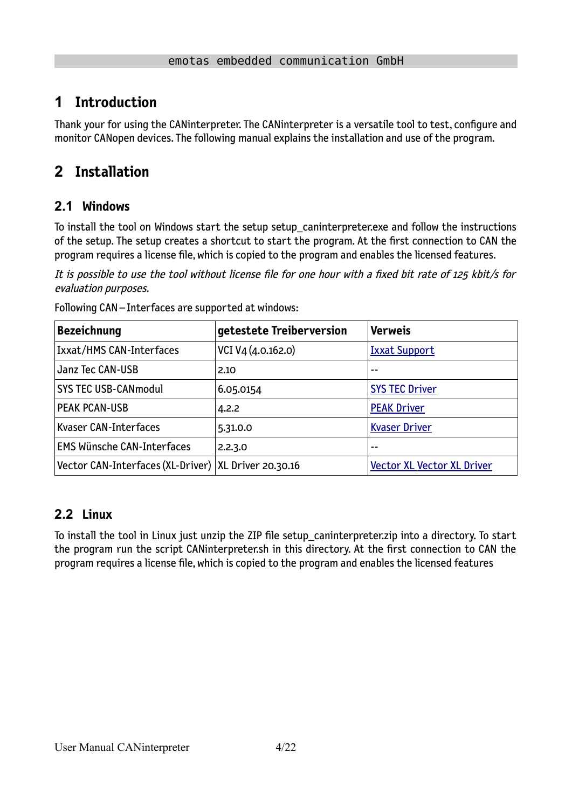# **1 Introduction**

Thank your for using the CANinterpreter. The CANinterpreter is a versatile tool to test, configure and monitor CANopen devices. The following manual explains the installation and use of the program.

# <span id="page-3-1"></span>**2 Installation**

# **2.1 Windows**

To install the tool on Windows start the setup setup caninterpreter.exe and follow the instructions of the setup. The setup creates a shortcut to start the program. At the first connection to CAN the program requires a license file, which is copied to the program and enables the licensed features.

It is possible to use the tool without license file for one hour with a fixed bit rate of 125 kbit/s for evaluation purposes.

| <b>Bezeichnung</b>                                     | getestete Treiberversion | <b>Verweis</b>                    |  |  |
|--------------------------------------------------------|--------------------------|-----------------------------------|--|--|
| Ixxat/HMS CAN-Interfaces                               | VCI V4 (4.0.162.0)       | <b>Ixxat Support</b>              |  |  |
| Janz Tec CAN-USB                                       | 2.10                     |                                   |  |  |
| <b>SYS TEC USB-CANmodul</b>                            | 6.05.0154                | <b>SYS TEC Driver</b>             |  |  |
| <b>PEAK PCAN-USB</b>                                   | 4.2.2                    | <b>PEAK Driver</b>                |  |  |
| Kvaser CAN-Interfaces                                  | 5.31.0.0                 | <b>Kvaser Driver</b>              |  |  |
| <b>EMS Wünsche CAN-Interfaces</b>                      | 2.2.3.0                  | --                                |  |  |
| Vector CAN-Interfaces (XL-Driver)   XL Driver 20.30.16 |                          | <b>Vector XL Vector XL Driver</b> |  |  |

Following CAN – Interfaces are supported at windows:

# <span id="page-3-0"></span>**2.2 Linux**

To install the tool in Linux just unzip the ZIP file setup\_caninterpreter.zip into a directory. To start the program run the script CANinterpreter.sh in this directory. At the first connection to CAN the program requires a license file, which is copied to the program and enables the licensed features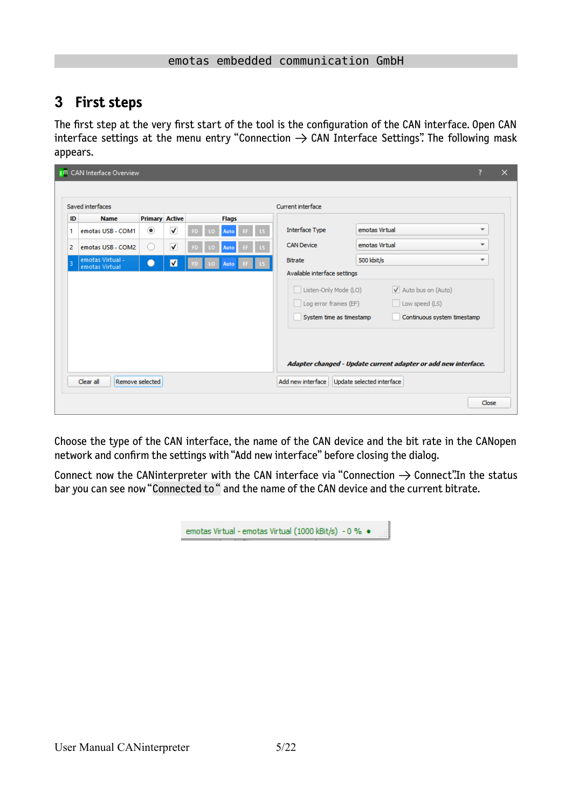# <span id="page-4-0"></span>**3 First steps**

The first step at the very first start of the tool is the configuration of the CAN interface. Open CAN interface settings at the menu entry "Connection  $\rightarrow$  CAN Interface Settings". The following mask appears.

|                | <b>EM</b> CAN Interface Overview   |                       |                         |    |    |              |    |  |                              |                                                                |                          | $\times$ |
|----------------|------------------------------------|-----------------------|-------------------------|----|----|--------------|----|--|------------------------------|----------------------------------------------------------------|--------------------------|----------|
|                |                                    |                       |                         |    |    |              |    |  |                              |                                                                |                          |          |
|                | Saved interfaces                   |                       |                         |    |    |              |    |  | Current interface            |                                                                |                          |          |
| ID             | <b>Name</b>                        | <b>Primary Active</b> |                         |    |    | <b>Flags</b> |    |  |                              |                                                                |                          |          |
| 1              | emotas USB - COM1                  | $^\circledR$          | $\overline{\mathsf{v}}$ | FD | ۱O | Auto         | EF |  | <b>Interface Type</b>        | emotas Virtual                                                 | $\overline{\phantom{a}}$ |          |
| $\overline{2}$ | emotas USB - COM2                  | 0                     | $\overline{\mathsf{v}}$ |    | Ω  | Auto         |    |  | <b>CAN Device</b>            | emotas Virtual                                                 | $\overline{\phantom{a}}$ |          |
| в              | emotas Virtual -<br>emotas Virtual |                       | $\blacksquare$          |    |    | Auto         |    |  | Bitrate                      | 500 kbit/s                                                     | $\overline{\phantom{a}}$ |          |
|                |                                    |                       |                         |    |    |              |    |  | Available interface settings |                                                                |                          |          |
|                |                                    |                       |                         |    |    |              |    |  | Listen-Only Mode (LO)        | V Auto bus on (Auto)                                           |                          |          |
|                |                                    |                       |                         |    |    |              |    |  | Log error frames (EF)        | Low speed (LS)                                                 |                          |          |
|                |                                    |                       |                         |    |    |              |    |  | System time as timestamp     | Continuous system timestamp                                    |                          |          |
|                |                                    |                       |                         |    |    |              |    |  |                              |                                                                |                          |          |
|                |                                    |                       |                         |    |    |              |    |  |                              |                                                                |                          |          |
|                |                                    |                       |                         |    |    |              |    |  |                              | Adapter changed - Update current adapter or add new interface. |                          |          |
|                |                                    |                       |                         |    |    |              |    |  |                              |                                                                |                          |          |
|                | Remove selected<br>Clear all       |                       |                         |    |    |              |    |  | Add new interface            | Update selected interface                                      |                          |          |
|                |                                    |                       |                         |    |    |              |    |  |                              |                                                                | Close                    |          |
|                |                                    |                       |                         |    |    |              |    |  |                              |                                                                |                          |          |

Choose the type of the CAN interface, the name of the CAN device and the bit rate in the CANopen network and confirm the settings with "Add new interface" before closing the dialog.

Connect now the CANinterpreter with the CAN interface via "Connection  $\rightarrow$  Connect". In the status bar you can see now "Connected to " and the name of the CAN device and the current bitrate.

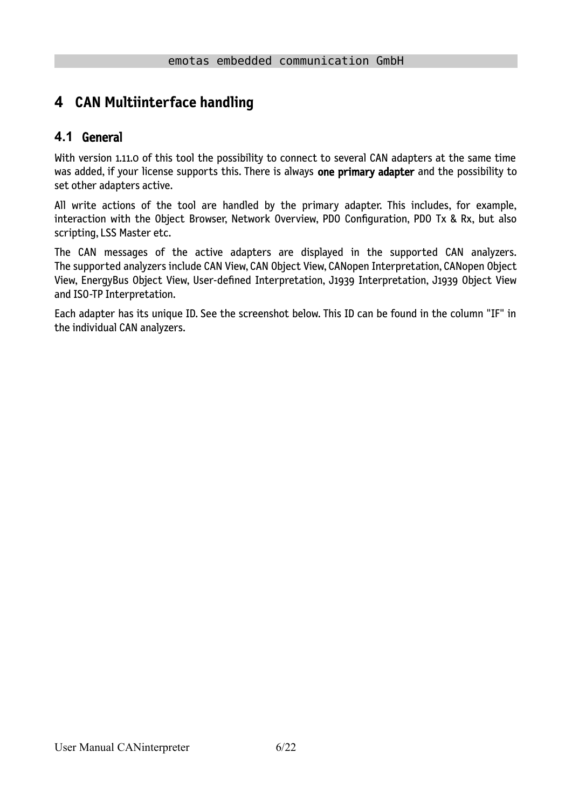# <span id="page-5-1"></span>**4 CAN Multiinterface handling**

# <span id="page-5-0"></span>**4.1** General

With version 1.11.0 of this tool the possibility to connect to several CAN adapters at the same time was added, if your license supports this. There is always one primary adapter and the possibility to set other adapters active.

All write actions of the tool are handled by the primary adapter. This includes, for example, interaction with the Object Browser, Network Overview, PDO Configuration, PDO Tx & Rx, but also scripting, LSS Master etc.

The CAN messages of the active adapters are displayed in the supported CAN analyzers. The supported analyzers include CAN View, CAN Object View, CANopen Interpretation, CANopen Object View, EnergyBus Object View, User-defined Interpretation, J1939 Interpretation, J1939 Object View and ISO-TP Interpretation.

Each adapter has its unique ID. See the screenshot below. This ID can be found in the column "IF" in the individual CAN analyzers.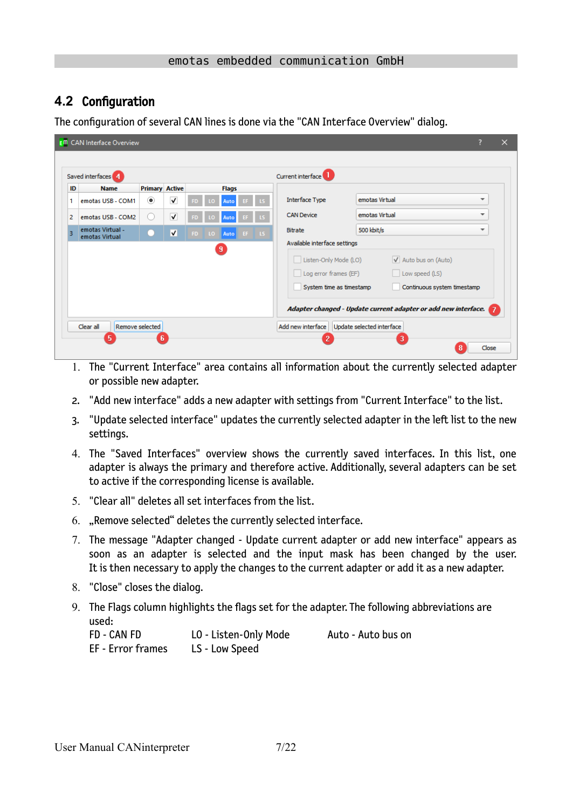# <span id="page-6-0"></span>**4.2** Configuration

The configuration of several CAN lines is done via the "CAN Interface Overview" dialog.

| Saved interfaces 4                      |                          |              |     |                |              |     | Current interface                                                          |                                                                                                                                                 |
|-----------------------------------------|--------------------------|--------------|-----|----------------|--------------|-----|----------------------------------------------------------------------------|-------------------------------------------------------------------------------------------------------------------------------------------------|
| ID<br><b>Name</b>                       | <b>Primary Active</b>    |              |     |                | <b>Flags</b> |     |                                                                            |                                                                                                                                                 |
| emotas USB - COM1                       | $\left( \bullet \right)$ | $\checkmark$ |     |                | Auto         |     | <b>Interface Type</b>                                                      | emotas Virtual                                                                                                                                  |
| $\overline{2}$<br>emotas USB - COM2     | $\left( \quad \right)$   | $\checkmark$ |     | 10             | Auto         | -15 | <b>CAN Device</b>                                                          | emotas Virtual                                                                                                                                  |
| emotas Virtual -<br>в<br>emotas Virtual |                          | V            | FD. | LO.            | Auto EF LS   |     | Bitrate                                                                    | 500 kbit/s                                                                                                                                      |
|                                         |                          |              |     | $\overline{9}$ |              |     | Listen-Only Mode (LO)<br>Log error frames (EF)<br>System time as timestamp | $\sqrt{}$ Auto bus on (Auto)<br>Low speed (LS)<br>Continuous system timestamp<br>Adapter changed - Update current adapter or add new interface. |

- 1. The "Current Interface" area contains all information about the currently selected adapter or possible new adapter.
- 2. "Add new interface" adds a new adapter with settings from "Current Interface" to the list.
- 3. "Update selected interface" updates the currently selected adapter in the left list to the new settings.
- 4. The "Saved Interfaces" overview shows the currently saved interfaces. In this list, one adapter is always the primary and therefore active. Additionally, several adapters can be set to active if the corresponding license is available.
- 5. "Clear all" deletes all set interfaces from the list.
- 6. "Remove selected" deletes the currently selected interface.
- 7. The message "Adapter changed Update current adapter or add new interface" appears as soon as an adapter is selected and the input mask has been changed by the user. It is then necessary to apply the changes to the current adapter or add it as a new adapter.
- 8. "Close" closes the dialog.
- 9. The Flags column highlights the flags set for the adapter. The following abbreviations are used:

| FD - CAN FD       | LO - Listen-Only Mode | Auto - Auto bus on |
|-------------------|-----------------------|--------------------|
| EF - Error frames | LS - Low Speed        |                    |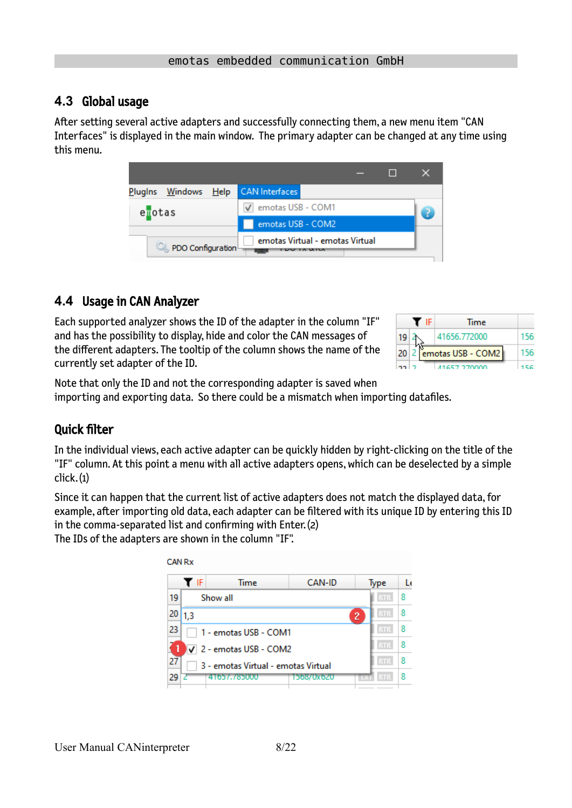### <span id="page-7-1"></span>**4.3** Global usage

After setting several active adapters and successfully connecting them, a new menu item "CAN Interfaces" is displayed in the main window. The primary adapter can be changed at any time using this menu.

| Plugins Windows Help | <b>CAN</b> Interfaces           |  |  |  |  |  |  |  |
|----------------------|---------------------------------|--|--|--|--|--|--|--|
| enotas               | √ emotas USB - COM1             |  |  |  |  |  |  |  |
|                      | emotas USB - COM2               |  |  |  |  |  |  |  |
| PDO Configuration    | emotas Virtual - emotas Virtual |  |  |  |  |  |  |  |

# <span id="page-7-0"></span>**4.4** Usage in CAN Analyzer

Each supported analyzer shows the ID of the adapter in the column "IF" and has the possibility to display, hide and color the CAN messages of the different adapters. The tooltip of the column shows the name of the currently set adapter of the ID.

|    | IF. | Time                   |  |
|----|-----|------------------------|--|
| 19 |     | 41656.772000           |  |
|    |     | 20 2 emotas USB - COM2 |  |
|    |     | 41657.270000           |  |

Note that only the ID and not the corresponding adapter is saved when importing and exporting data. So there could be a mismatch when importing datafiles.

# Quick filter

In the individual views, each active adapter can be quickly hidden by right-clicking on the title of the "IF" column. At this point a menu with all active adapters opens, which can be deselected by a simple click. (1)

Since it can happen that the current list of active adapters does not match the displayed data, for example, after importing old data, each adapter can be filtered with its unique ID by entering this ID in the comma-separated list and confirming with Enter. (2)

The IDs of the adapters are shown in the column "IF".

| 19<br>Show all<br>20<br>1.3               |                                | <b>RTR</b>                   | 8 |  |  |  |  |  |
|-------------------------------------------|--------------------------------|------------------------------|---|--|--|--|--|--|
|                                           |                                |                              |   |  |  |  |  |  |
|                                           |                                | <b>RTR</b><br>$\overline{c}$ | 8 |  |  |  |  |  |
| 23                                        | 1 - emotas USB - COM1          |                              |   |  |  |  |  |  |
|                                           | $\sqrt{2}$ - emotas USB - COM2 |                              |   |  |  |  |  |  |
| 27<br>3 - emotas Virtual - emotas Virtual | <b>RTR</b>                     | 8                            |   |  |  |  |  |  |
| 29<br>41657.785000                        | 1568/0x620                     | <b>RTR</b><br>÷              | 8 |  |  |  |  |  |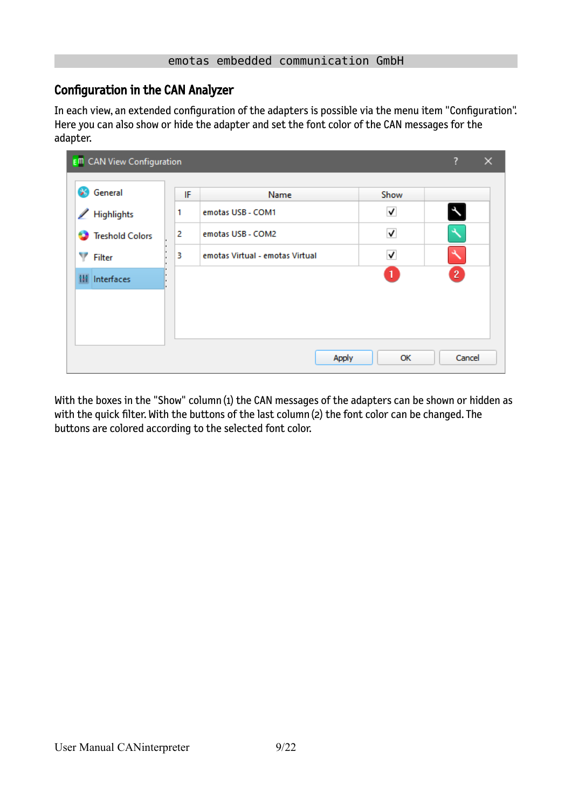# Configuration in the CAN Analyzer

In each view, an extended configuration of the adapters is possible via the menu item "Configuration". Here you can also show or hide the adapter and set the font color of the CAN messages for the adapter.

| <b>E<sup>m</sup></b> CAN View Configuration |    |                                 |                         | ?<br>$\times$ |
|---------------------------------------------|----|---------------------------------|-------------------------|---------------|
| $\mathscr{L}$<br>General                    | IF | Name                            | Show                    |               |
| <b>Highlights</b><br>◢                      | 1  | emotas USB - COM1               | √                       | $\star$       |
| <b>Treshold Colors</b>                      | 2  | emotas USB - COM2               | ✓                       |               |
| v<br><b>Filter</b>                          | 3  | emotas Virtual - emotas Virtual | $\overline{\mathsf{v}}$ |               |
| Interfaces<br>ш                             |    |                                 | $\mathbf{1}$            | $\mathbf{2}$  |
|                                             |    |                                 |                         |               |
|                                             |    |                                 |                         |               |
|                                             |    |                                 |                         |               |
|                                             |    | Apply                           | ОК                      | Cancel        |

With the boxes in the "Show" column (1) the CAN messages of the adapters can be shown or hidden as with the quick filter. With the buttons of the last column (2) the font color can be changed. The buttons are colored according to the selected font color.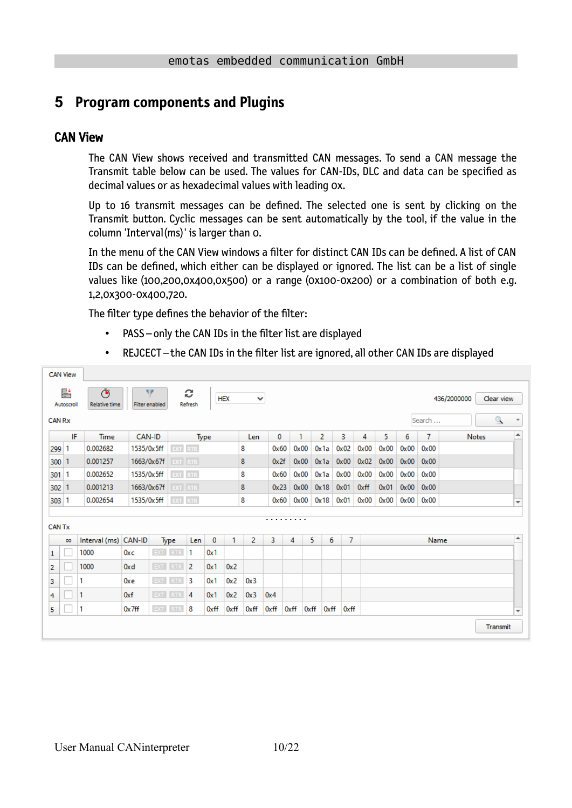# <span id="page-9-1"></span>**5 Program components and Plugins**

#### <span id="page-9-0"></span>CAN View

The CAN View shows received and transmitted CAN messages. To send a CAN message the Transmit table below can be used. The values for CAN-IDs, DLC and data can be specified as decimal values or as hexadecimal values with leading 0x.

Up to 16 transmit messages can be defined. The selected one is sent by clicking on the Transmit button. Cyclic messages can be sent automatically by the tool, if the value in the column 'Interval(ms)' is larger than 0.

<span id="page-9-2"></span>In the menu of the CAN View windows a filter for distinct CAN IDs can be defined. A list of CAN IDs can be defined, which either can be displayed or ignored. The list can be a list of single values like (100,200,0x400,0x500) or a range (0x100-0x200) or a combination of both e.g. 1,2,0x300-0x400,720.

The filter type defines the behavior of the filter:

- PASS only the CAN IDs in the filter list are displayed
- REJCECT the CAN IDs in the filter list are ignored, all other CAN IDs are displayed

|               | <b>CAN View</b> |                           |            |                            |                |                     |      |            |              |      |      |               |                |      |               |      |      |        |              |                          |
|---------------|-----------------|---------------------------|------------|----------------------------|----------------|---------------------|------|------------|--------------|------|------|---------------|----------------|------|---------------|------|------|--------|--------------|--------------------------|
|               | 뢑<br>Autoscroll | Õ<br><b>Relative time</b> |            | v<br><b>Filter enabled</b> |                | c<br><b>Refresh</b> |      | <b>HEX</b> | $\checkmark$ |      |      |               |                |      |               |      |      |        | 436/2000000  | Clear view               |
| <b>CAN Rx</b> |                 |                           |            |                            |                |                     |      |            |              |      |      |               |                |      |               |      |      | Search |              | $\mathbb{R}$<br>٠        |
|               | IF              | <b>Time</b>               | CAN-ID     |                            |                | <b>Type</b>         |      |            | Len          | 0    |      | 1             | $\overline{2}$ | 3    | 4             | 5.   | 6    | 7      | <b>Notes</b> | ▲                        |
| 299           | -1              | 0.002682                  | 1535/0x5ff |                            | EXT RTR        |                     |      |            | 8            | 0x60 |      | $0 \times 00$ | Ox 1a          | 0x02 | 0x00          | 0x00 | 0x00 | 0x00   |              |                          |
| 300           |                 | 0.001257                  | 1663/0x67f |                            | <b>EXT</b> RTR |                     |      |            | 8            | 0x2f |      | 0x00          | 0x1a           | 0x00 | 0x02          | 0x00 | 0x00 | 0x00   |              |                          |
| $301 \mid 1$  |                 | 0.002652                  | 1535/0x5ff |                            | EXT RTR        |                     |      |            | 8            | 0x60 |      | 0x00          | 0x1a           | 0x00 | 0x00          | 0x00 | 0x00 | 0x00   |              |                          |
| 302           |                 | 0.001213                  | 1663/0x67f |                            | <b>EXT</b> RTR |                     |      |            | 8            | 0x23 |      | 0x00          | 0x18           | 0x01 | 0xff          | 0x01 | 0x00 | 0x00   |              |                          |
| 303 1         |                 | 0.002654                  |            | 1535/0x5ff                 | EXT RTR        |                     |      |            | 8            | 0x60 |      | $0 \times 00$ | 0x18           | 0x01 | $0 \times 00$ | 0x00 | 0x00 | 0x00   |              | $\overline{\mathbf{v}}$  |
|               |                 |                           |            |                            |                |                     |      |            |              |      | .    |               |                |      |               |      |      |        |              |                          |
| <b>CAN Tx</b> |                 |                           |            |                            |                |                     |      |            |              |      |      |               |                |      |               |      |      |        |              |                          |
|               | $\infty$        | Interval (ms) CAN-ID      |            |                            | Type           | Len                 | 0    | 1          | 2            | 3    | 4    | 5             | 6              |      | 7             |      |      | Name   |              | ▲                        |
| 1             |                 | 1000                      | 0xc        | EXT RTR                    |                | 1                   | 0x1  |            |              |      |      |               |                |      |               |      |      |        |              |                          |
| 2             |                 | 1000                      | 0xd        | EXT RTR                    |                | 2                   | 0x1  | 0x2        |              |      |      |               |                |      |               |      |      |        |              |                          |
| 3             |                 | 1                         | $0x$ e     | $EXT$ RTR                  |                | 3                   | 0x1  | 0x2        | 0x3          |      |      |               |                |      |               |      |      |        |              |                          |
| 4             |                 | 1                         | 0xf        | EXT RTR                    |                | 4                   | 0x1  | 0x2        | 0x3          | 0x4  |      |               |                |      |               |      |      |        |              |                          |
| 5             |                 | 1                         | 0x7ff      |                            | $EXT$ RTR      | 8                   | 0xff | 0xff       | 0xff         | 0xff | 0xff | 0xff          | 0xff           |      | 0xff          |      |      |        |              | $\overline{\phantom{a}}$ |
|               |                 |                           |            |                            |                |                     |      |            |              |      |      |               |                |      |               |      |      |        |              | Transmit                 |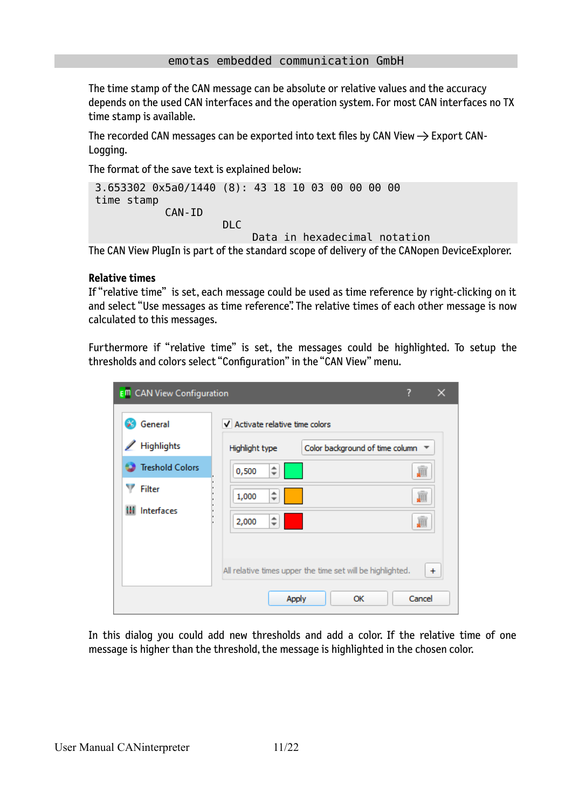The time stamp of the CAN message can be absolute or relative values and the accuracy depends on the used CAN interfaces and the operation system. For most CAN interfaces no TX time stamp is available.

The recorded CAN messages can be exported into text files by CAN View  $\rightarrow$  Export CAN-Logging.

The format of the save text is explained below:

```
 3.653302 0x5a0/1440 (8): 43 18 10 03 00 00 00 00 
  time stamp
               CAN-ID
                          DLC
                                Data in hexadecimal notation
The CAN View PlugIn is part of the standard scope of delivery of the CANopen DeviceExplorer.
```
#### **Relative times**

If "relative time" is set, each message could be used as time reference by right-clicking on it and select "Use messages as time reference". The relative times of each other message is now calculated to this messages.

Furthermore if "relative time" is set, the messages could be highlighted. To setup the thresholds and colors select "Configuration" in the "CAN View" menu.

| <b>E<sup>m</sup></b> CAN View Configuration |                                                            | ?                                          |
|---------------------------------------------|------------------------------------------------------------|--------------------------------------------|
| General                                     | $\sqrt{}$ Activate relative time colors                    |                                            |
| Highlights                                  | Highlight type                                             | Color background of time column $\sqrt{*}$ |
| <b>Treshold Colors</b>                      | ▲<br>0,500<br>$\overline{\phantom{a}}$                     | JII                                        |
| <b>Filter</b>                               | 1,000<br>$\overline{\phantom{a}}$                          | JII                                        |
| Interfaces<br>ш                             | ▲<br>2,000<br>$\overline{\phantom{a}}$                     | JII                                        |
|                                             |                                                            |                                            |
|                                             | All relative times upper the time set will be highlighted. | $\ddot{}$                                  |
|                                             | Apply                                                      | Cancel<br>ОК                               |

In this dialog you could add new thresholds and add a color. If the relative time of one message is higher than the threshold, the message is highlighted in the chosen color.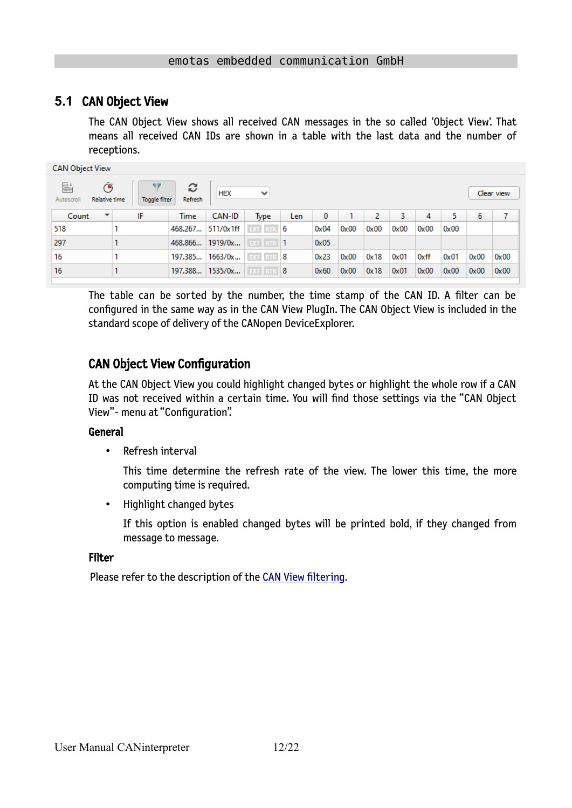### **5.1** CAN Object View

<span id="page-11-0"></span>The CAN Object View shows all received CAN messages in the so called 'Object View'. That means all received CAN IDs are shown in a table with the last data and the number of receptions.

| <b>CAN Object View</b>                       |               |                     |                 |              |      |              |      |      |      |      |      |      |            |
|----------------------------------------------|---------------|---------------------|-----------------|--------------|------|--------------|------|------|------|------|------|------|------------|
| 름<br>Ō<br><b>Relative time</b><br>Autoscroll | Toggle filter | c<br><b>Refresh</b> | <b>HEX</b>      | $\checkmark$ |      |              |      |      |      |      |      |      | Clear view |
| $\overline{\phantom{a}}$<br>Count            | IF            | <b>Time</b>         | CAN-ID          | Type         | Len. | $\mathbf{0}$ |      | 2    | 3.   | 4    | 5.   | 6    | 7          |
| 518                                          |               | 468.267             | 511/0x1ff       | EXT RTR 6    |      | 0x04         | 0x00 | 0x00 | 0x00 | 0x00 | 0x00 |      |            |
| 297                                          |               | 468.866             | 1919/0x         | EXT RTR 1    |      | 0x05         |      |      |      |      |      |      |            |
| 16                                           |               | 197.385             | 1663/0x         | EXT RTR 8    |      | 0x23         | 0x00 | 0x18 | 0x01 | 0xff | 0x01 | 0x00 | 0x00       |
| 16                                           |               |                     | 197.388 1535/0x | EXT RTR 8    |      | 0x60         | 0x00 | 0x18 | 0x01 | 0x00 | 0x00 | 0x00 | 0x00       |

The table can be sorted by the number, the time stamp of the CAN ID. A filter can be configured in the same way as in the CAN View PlugIn. The CAN Object View is included in the standard scope of delivery of the CANopen DeviceExplorer.

### CAN Object View Configuration

At the CAN Object View you could highlight changed bytes or highlight the whole row if a CAN ID was not received within a certain time. You will find those settings via the "CAN Object View"- menu at "Configuration".

#### General

• Refresh interval

This time determine the refresh rate of the view. The lower this time, the more computing time is required.

• Highlight changed bytes

If this option is enabled changed bytes will be printed bold, if they changed from message to message.

#### Filter

Please refer to the description of the [CAN View filtering](#page-9-2).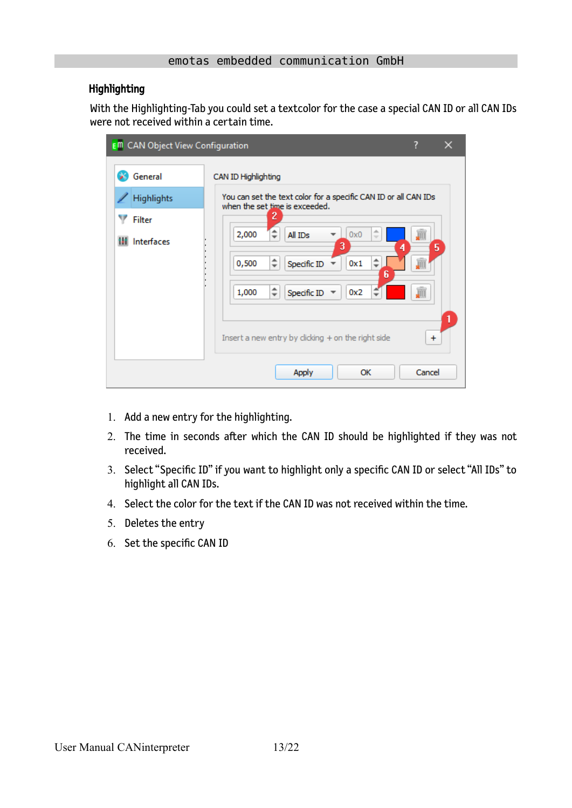#### Highlighting

With the Highlighting-Tab you could set a textcolor for the case a special CAN ID or all CAN IDs were not received within a certain time.

| <b>E</b> <sup>m</sup> CAN Object View Configuration |                                                                                                                                                                                                                                                                                                                                                                |                                    | × |
|-----------------------------------------------------|----------------------------------------------------------------------------------------------------------------------------------------------------------------------------------------------------------------------------------------------------------------------------------------------------------------------------------------------------------------|------------------------------------|---|
| General<br>Highlights<br>Filter<br>Interfaces       | CAN ID Highlighting<br>You can set the text color for a specific CAN ID or all CAN IDs<br>when the set time is exceeded.<br>2<br>业<br>≑<br>2,000<br>All IDs<br>0x0<br>$\overline{\phantom{a}}$<br>3<br>4<br>÷<br>0,500<br>Specific ID<br>0x1<br>6<br>$\hat{\mathbf{z}}$<br>1,000<br>Specific ID<br>0x2<br>Insert a new entry by clicking $+$ on the right side | 画<br>5<br>JII<br>gill<br>$\ddot{}$ | 1 |
|                                                     | <b>Apply</b><br>ОК                                                                                                                                                                                                                                                                                                                                             | Cancel                             |   |

- 1. Add a new entry for the highlighting.
- 2. The time in seconds after which the CAN ID should be highlighted if they was not received.
- 3. Select "Specific ID" if you want to highlight only a specific CAN ID or select "All IDs" to highlight all CAN IDs.
- 4. Select the color for the text if the CAN ID was not received within the time.
- 5. Deletes the entry
- 6. Set the specific CAN ID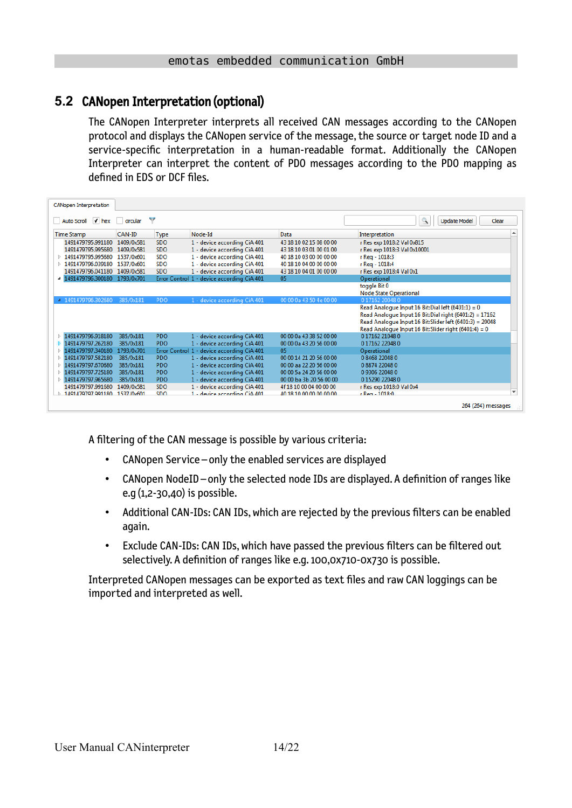# **5.2** CANopen Interpretation (optional)

<span id="page-13-0"></span>The CANopen Interpreter interprets all received CAN messages according to the CANopen protocol and displays the CANopen service of the message, the source or target node ID and a service-specific interpretation in a human-readable format. Additionally the CANopen Interpreter can interpret the content of PDO messages according to the PDO mapping as defined in EDS or DCF files.

| <b>CANopen Interpretation</b>                  |            |             |                                            |                         |                                                          |
|------------------------------------------------|------------|-------------|--------------------------------------------|-------------------------|----------------------------------------------------------|
| $\sqrt{\phantom{a}}$ hex<br><b>Auto Scroll</b> | circular   | v           |                                            |                         | ٩<br><b>Update Model</b><br>Clear                        |
| <b>Time Stamp</b>                              | CAN-ID     | <b>Type</b> | Node-Id                                    | Data                    | Interpretation                                           |
| 1491479795.991180                              | 1409/0x581 | <b>SDO</b>  | 1 - device according CiA 401               | 43 18 10 02 15 08 00 00 | r Res exp 1018:2 Val 0x815                               |
| 1491479795.995680                              | 1409/0x581 | <b>SDO</b>  | 1 - device according CiA 401               | 43 18 10 03 01 00 01 00 | r Res exp 1018:3 Val 0x10001                             |
| 1491479795.995680<br>D.                        | 1537/0x601 | <b>SDO</b>  | 1 - device according CiA 401               | 40 18 10 03 00 00 00 00 | r Reg - 1018:3                                           |
| 1491479796.039180<br>Þ                         | 1537/0x601 | <b>SDO</b>  | 1 - device according CiA 401               | 40 18 10 04 00 00 00 00 | r Reg - 1018:4                                           |
| 1491479796.041180 1409/0x581                   |            | <b>SDO</b>  | 1 - device according CiA 401               | 43 18 10 04 01 00 00 00 | r Res exp 1018:4 Val 0x1                                 |
| 4 1491479796.300180                            | 1793/0x701 |             | Error Control 1 - device according CiA 401 | 05                      | Operational                                              |
|                                                |            |             |                                            |                         | toggle Bit 0                                             |
|                                                |            |             |                                            |                         | <b>Node State Operational</b>                            |
| ▲ 1491479796.302680                            | 385/0x181  | PDO         | 1 - device according CiA 401               | 00 00 0a 43 50 4e 00 00 | 017162200480                                             |
|                                                |            |             |                                            |                         | Read Analogue Input 16 Bit: Dial left $(6401:1) = 0$     |
|                                                |            |             |                                            |                         | Read Analogue Input 16 Bit: Dial right (6401:2) = 17162  |
|                                                |            |             |                                            |                         | Read Analogue Input 16 Bit: Slider left (6401:3) = 20048 |
|                                                |            |             |                                            |                         | Read Analogue Input 16 Bit: Slider right (6401:4) = 0    |
| 1491479796.918180                              | 385/0x181  | <b>PDO</b>  | 1 - device according CiA 401               | 00 00 0a 43 38 52 00 00 | 017162210480                                             |
| 1491479797.262180                              | 385/0x181  | <b>PDO</b>  | 1 - device according CiA 401               | 00 00 0a 43 20 56 00 00 | 017162220480                                             |
| 1491479797.340180                              | 1793/0x701 |             | Error Control 1 - device according CiA 401 | 05                      | Operational                                              |
| 1491479797.582180<br>ь                         | 385/0x181  | <b>PDO</b>  | 1 - device according CiA 401               | 00 00 14 21 20 56 00 00 | 0 8468 22048 0                                           |
| 1491479797.670680                              | 385/0x181  | <b>PDO</b>  | 1 - device according CiA 401               | 00 00 aa 22 20 56 00 00 | 08874220480                                              |
| 1491479797.725180                              | 385/0x181  | <b>PDO</b>  | 1 - device according CiA 401               | 00 00 5a 24 20 56 00 00 | 09306220480                                              |
| 1491479797.965680                              | 385/0x181  | <b>PDO</b>  | 1 - device according CiA 401               | 00 00 ba 3b 20 56 00 00 | 015290220480                                             |
| 1491479797.991680                              | 1409/0x581 | <b>SDO</b>  | 1 - device according CiA 401               | 4f 18 10 00 04 00 00 00 | r Res exp 1018:0 Val 0x4                                 |
| 1491479797 991180 1537/0x601                   |            | <b>SDO</b>  | $1 -$ device according $C$ i $\Delta$ 401  | 40 18 10 00 00 00 00 00 | ÷<br>$r$ Reg - 1018:0                                    |
|                                                |            |             |                                            |                         | 264 (264) messages                                       |

A filtering of the CAN message is possible by various criteria:

- CANopen Service only the enabled services are displayed
- CANopen NodeID only the selected node IDs are displayed. A definition of ranges like e.g (1,2-30,40) is possible.
- Additional CAN-IDs: CAN IDs, which are rejected by the previous filters can be enabled again.
- Exclude CAN-IDs: CAN IDs, which have passed the previous filters can be filtered out selectively. A definition of ranges like e.g. 100,0x710-0x730 is possible.

Interpreted CANopen messages can be exported as text files and raw CAN loggings can be imported and interpreted as well.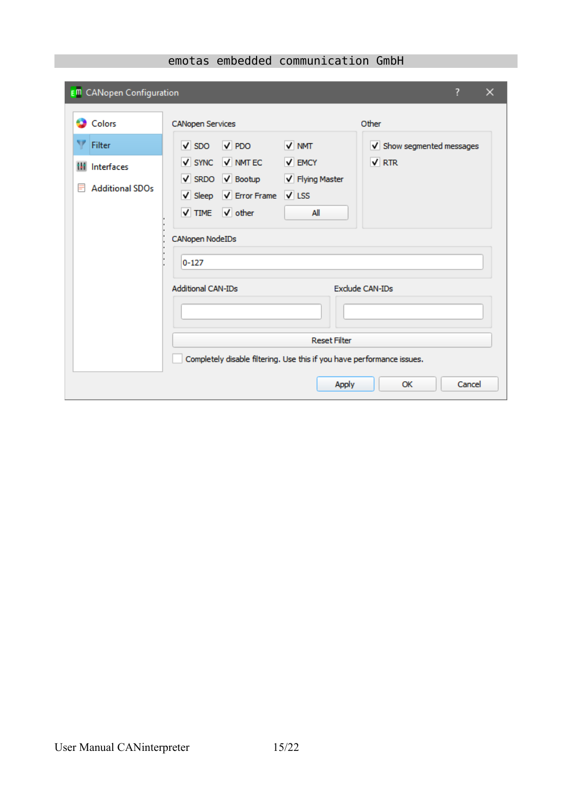| <b>E<sup>m</sup></b> CANopen Configuration                     |                                                                                                                                                                                                                                         | ?      | $\times$ |
|----------------------------------------------------------------|-----------------------------------------------------------------------------------------------------------------------------------------------------------------------------------------------------------------------------------------|--------|----------|
| <b>Colors</b>                                                  | Other<br><b>CANopen Services</b>                                                                                                                                                                                                        |        |          |
| Filter<br><b>III</b> Interfaces<br><b>Additional SDOs</b><br>Ħ | $\sqrt{PDO}$<br>V NMT<br>$\sqrt{SDO}$<br>V Show segmented messages<br>V SYNC V NMT EC V EMCY<br>$\sqrt{RTR}$<br>V SRDO V Bootup V Flying Master<br>V Sleep V Error Frame V LSS<br>V TIME V other<br>All<br>CANopen NodeIDs<br>$0 - 127$ |        |          |
|                                                                | <b>Additional CAN-IDs</b><br><b>Exclude CAN-IDs</b><br><b>Reset Filter</b><br>Completely disable filtering. Use this if you have performance issues.                                                                                    |        |          |
|                                                                | <b>Apply</b><br>OK                                                                                                                                                                                                                      | Cancel |          |

# emotas embedded communication GmbH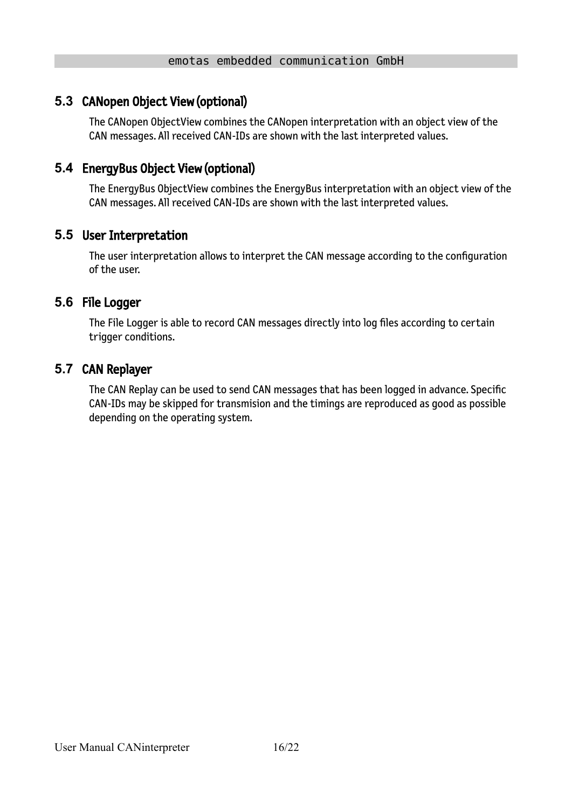# **5.3** CANopen Object View (optional)

<span id="page-15-4"></span>The CANopen ObjectView combines the CANopen interpretation with an object view of the CAN messages. All received CAN-IDs are shown with the last interpreted values.

# **5.4** EnergyBus Object View (optional)

<span id="page-15-3"></span>The EnergyBus ObjectView combines the EnergyBus interpretation with an object view of the CAN messages. All received CAN-IDs are shown with the last interpreted values.

### **5.5** User Interpretation

<span id="page-15-2"></span>The user interpretation allows to interpret the CAN message according to the configuration of the user.

### **5.6** File Logger

<span id="page-15-1"></span>The File Logger is able to record CAN messages directly into log files according to certain trigger conditions.

### **5.7** CAN Replayer

<span id="page-15-0"></span>The CAN Replay can be used to send CAN messages that has been logged in advance. Specific CAN-IDs may be skipped for transmision and the timings are reproduced as good as possible depending on the operating system.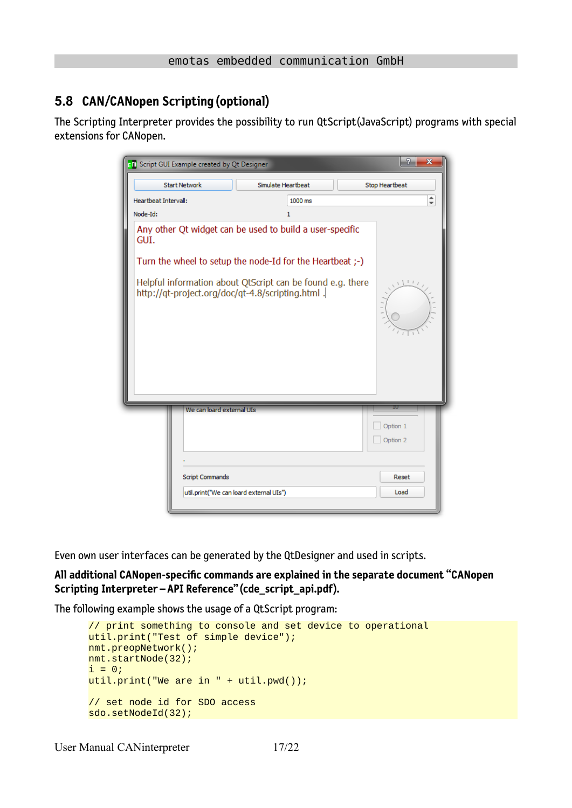# <span id="page-16-0"></span>**5.8 CAN/CANopen Scripting (optional)**

The Scripting Interpreter provides the possibility to run QtScript(JavaScript) programs with special extensions for CANopen.

|                      | <b>EM</b> Script GUI Example created by Qt Designer                                                                                                                                                                                      |                    | P<br>$\mathbf{x}$    |
|----------------------|------------------------------------------------------------------------------------------------------------------------------------------------------------------------------------------------------------------------------------------|--------------------|----------------------|
|                      | <b>Start Network</b>                                                                                                                                                                                                                     | Simulate Heartbeat | Stop Heartbeat       |
| Heartbeat Intervall: |                                                                                                                                                                                                                                          | 1000 ms            | $\div$               |
| Node-Id:<br>GUI.     | Any other Qt widget can be used to build a user-specific<br>Turn the wheel to setup the node-Id for the Heartbeat ;-)<br>Helpful information about QtScript can be found e.g. there<br>http://qt-project.org/doc/qt-4.8/scripting.html . | 1                  | 111                  |
|                      | We can loard external UIs                                                                                                                                                                                                                |                    | Option 1<br>Option 2 |
|                      | <b>Script Commands</b>                                                                                                                                                                                                                   |                    | Reset<br>Load        |
|                      | util.print("We can loard external UIs")                                                                                                                                                                                                  |                    |                      |

Even own user interfaces can be generated by the QtDesigner and used in scripts.

**All additional CANopen-specific commands are explained in the separate document "CANopen Scripting Interpreter – API Reference" (cde\_script\_api.pdf).**

The following example shows the usage of a QtScript program:

```
// print something to console and set device to operational
util.print("Test of simple device");
nmt.preopNetwork();
nmt.startNode(32);
i = 0;util.print("We are in " + util.pwd());
// set node id for SDO access
sdo.setNodeId(32);
```
User Manual CANinterpreter 17/22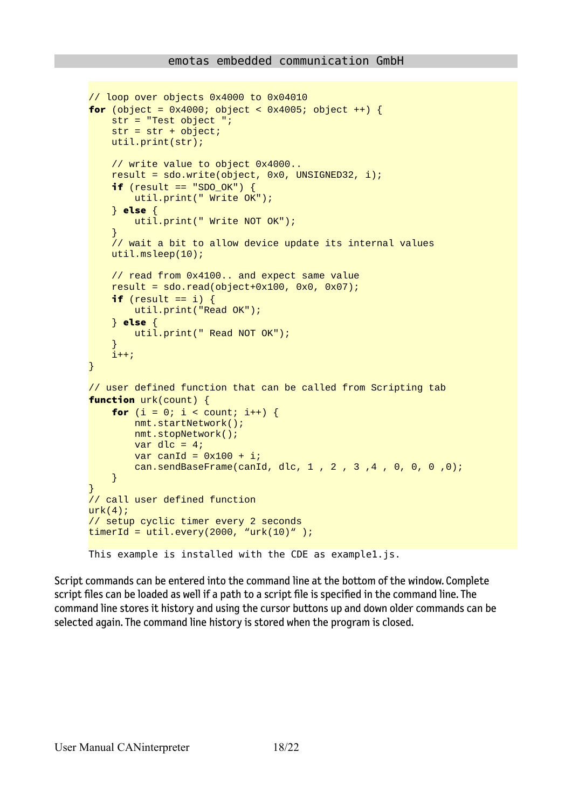```
// loop over objects 0x4000 to 0x04010 
for (object = 0x4000; object < 0x4005; object ++) {
     str = "Test object ";
    str = str + object; util.print(str);
     // write value to object 0x4000..
     result = sdo.write(object, 0x0, UNSIGNED32, i);
    if (result == "SDO_OK") {
         util.print(" Write OK");
     } else {
         util.print(" Write NOT OK");
 }
     // wait a bit to allow device update its internal values
     util.msleep(10);
     // read from 0x4100.. and expect same value
    result = sd0.read(object+0x100, 0x0, 0x07);if (result == i) {
         util.print("Read OK");
     } else {
         util.print(" Read NOT OK");
 }
     i++;
}
// user defined function that can be called from Scripting tab
function urk(count) {
    for (i = 0; i < count; i^{++}) {
         nmt.startNetwork();
         nmt.stopNetwork();
        var dlc = 4;
        var canId = 0x100 + i;
         can.sendBaseFrame(canId, dlc, 1 , 2 , 3 ,4 , 0, 0, 0 ,0);
     }
}
// call user defined function
urk(4);
// setup cyclic timer every 2 seconds
timeT1d = util.every(2000, "urk(10)" );
This example is installed with the CDE as example1.js.
```
Script commands can be entered into the command line at the bottom of the window. Complete script files can be loaded as well if a path to a script file is specified in the command line. The command line stores it history and using the cursor buttons up and down older commands can be selected again. The command line history is stored when the program is closed.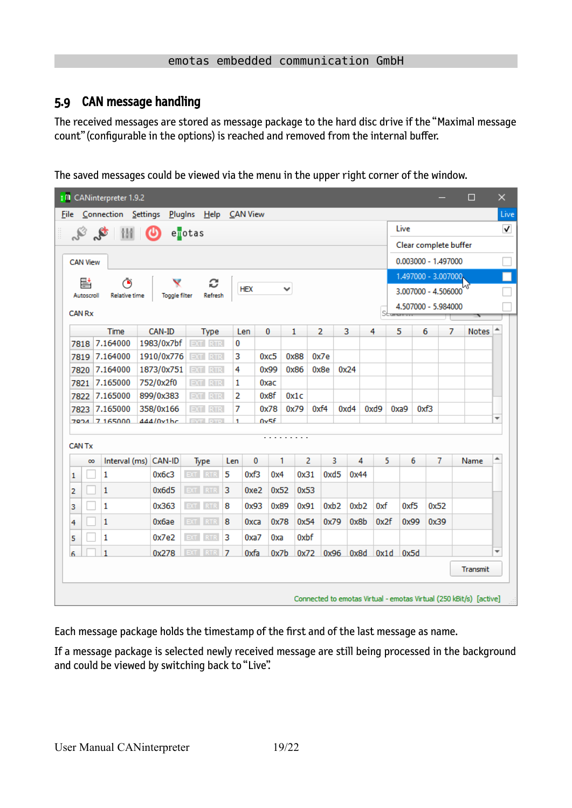### <span id="page-18-0"></span>5.9 CAN message handling

The received messages are stored as message package to the hard disc drive if the "Maximal message count" (configurable in the options) is reached and removed from the internal buffer.

The saved messages could be viewed via the menu in the upper right corner of the window.

|                 | I <sup>II</sup> I CANinterpreter 1.9.2 |                        |                       |                |             |                  |              |                |                |      |                |      |      |                       | □            | $\times$     |
|-----------------|----------------------------------------|------------------------|-----------------------|----------------|-------------|------------------|--------------|----------------|----------------|------|----------------|------|------|-----------------------|--------------|--------------|
| <b>File</b>     | Connection <u>S</u> ettings            |                        | Plugins Help CAN View |                |             |                  |              |                |                |      |                |      |      |                       |              | Live         |
|                 | $\mathcal{S}$ of $\mathbb{H}$ of       |                        | enotas                |                |             |                  |              |                |                |      |                | Live |      |                       |              | $\checkmark$ |
|                 |                                        |                        |                       |                |             |                  |              |                |                |      |                |      |      | Clear complete buffer |              |              |
| <b>CAN View</b> |                                        |                        |                       |                |             |                  |              |                |                |      |                |      |      | 0.003000 - 1.497000   |              |              |
|                 |                                        |                        |                       |                |             |                  |              |                |                |      |                |      |      | 1.497000 - 3.007000   |              |              |
| 뢑<br>Autoscroll | Ō<br>Relative time                     |                        | c<br>Refresh          |                | <b>HEX</b>  |                  | $\checkmark$ |                |                |      |                |      |      | 3.007000 - 4.506000   | МL           |              |
|                 |                                        | <b>Toggle filter</b>   |                       |                |             |                  |              |                |                |      |                |      |      | 4.507000 - 5.984000   |              |              |
| <b>CAN Rx</b>   |                                        |                        |                       |                |             |                  |              |                |                |      | Staran         |      |      |                       |              |              |
|                 | Time                                   | CAN-ID                 | <b>Type</b>           |                | Len         | $\bf{0}$         | 1            |                | $\overline{2}$ | 3    | 4              | 5    | 6    | 7                     | <b>Notes</b> |              |
|                 | 7818 7.164000                          | 1983/0x7bf             | EXT RTR               | 0              |             |                  |              |                |                |      |                |      |      |                       |              |              |
| 7819            | 7.164000                               | 1910/0x776             | EXT RTR               | 3              |             | 0x <sub>c5</sub> | 0x88         |                | 0x7e           |      |                |      |      |                       |              |              |
| 7820            | 7.164000<br>7.165000                   | 1873/0x751             | EXT RTR               | 4              |             | 0x99             | 0x86         |                | 0x8e           | 0x24 |                |      |      |                       |              |              |
| 7821<br>7822    | 7.165000                               | 752/0x2f0<br>899/0x383 | EXT RTR<br>EXT RTR    | 1<br>2         |             | 0xac<br>0x8f     | 0x1c         |                |                |      |                |      |      |                       |              |              |
| 7823            | 7.165000                               | 358/0x166              | <b>EXT RTR</b>        | 7              |             | 0x78             | 0x79         | 0xf4           |                | 0xd4 | 0xd9           | 0xa9 | 0xf3 |                       |              |              |
|                 | 7024 7 165000                          | 444/0v1hr              | <b>EVT</b> DTD        | 1              |             | nv5f             |              |                |                |      |                |      |      |                       |              | ▼            |
| <b>CAN Tx</b>   |                                        |                        |                       |                |             |                  |              |                |                |      |                |      |      |                       |              |              |
| $\infty$        |                                        | Interval (ms) CAN-ID   | Type                  | Len            | 0           | 1                |              | $\overline{2}$ | 3.             | 4    | 5.             | 6    |      | 7                     | Name         | ▲            |
| 1               | 1                                      | 0x6c3                  | EXT RTR               | 5              | 0xf3        | 0x4              |              | 0x31           | 0xd5           | 0x44 |                |      |      |                       |              |              |
| 2               | 1                                      | 0x6d5                  | EXT RTR               | 3              | 0xe2        | 0x52             |              | 0x53           |                |      |                |      |      |                       |              |              |
| 3               | 1                                      | 0x363                  | EXT RTR               | 8              | 0x93        | 0x89             |              | 0x91           | 0xb2           | 0xb2 | 0xf            | 0xf5 |      | 0x52                  |              |              |
| 4               | 1                                      | 0x6ae                  | EXT RTR               | 8              | <b>Охса</b> | 0x78             |              | 0x54           | 0x79           | 0x8b | 0x2f           | 0x99 |      | 0x39                  |              |              |
| 5               | 1                                      | 0x7e2                  | EXT.<br><b>RTR</b>    | 3              | 0xa7        | 0xa              |              | 0xbf           |                |      |                |      |      |                       |              |              |
| 6               |                                        | 0x278                  | EXT.<br><b>RTR</b>    | $\overline{7}$ | 0xfa        | 0x7b             |              | 0x72           | 0x96           |      | 0x8d 0x1d 0x5d |      |      |                       |              | ÷            |
|                 |                                        |                        |                       |                |             |                  |              |                |                |      |                |      |      |                       | Transmit     |              |

Each message package holds the timestamp of the first and of the last message as name.

If a message package is selected newly received message are still being processed in the background and could be viewed by switching back to "Live".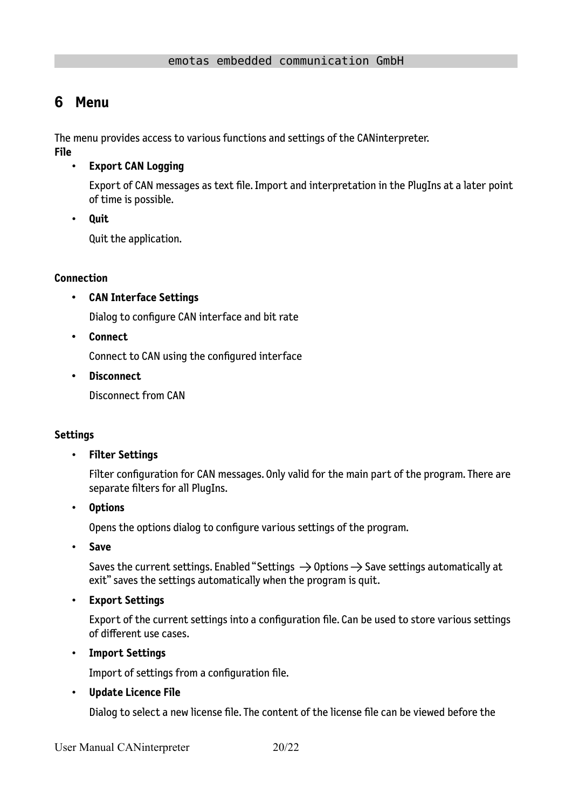# <span id="page-19-0"></span>**6 Menu**

The menu provides access to various functions and settings of the CANinterpreter.

**File**

• **Export CAN Logging**

Export of CAN messages as text file. Import and interpretation in the PlugIns at a later point of time is possible.

• **Quit**

Quit the application.

#### **Connection**

• **CAN Interface Settings**

Dialog to configure CAN interface and bit rate

• **Connect**

Connect to CAN using the configured interface

• **Disconnect**

Disconnect from CAN

#### **Settings**

#### • **Filter Settings**

Filter configuration for CAN messages. Only valid for the main part of the program. There are separate filters for all PlugIns.

• **Options**

Opens the options dialog to configure various settings of the program.

• **Save**

Saves the current settings. Enabled "Settings  $\rightarrow$  Options  $\rightarrow$  Save settings automatically at exit" saves the settings automatically when the program is quit.

• **Export Settings**

Export of the current settings into a configuration file. Can be used to store various settings of different use cases.

• **Import Settings**

Import of settings from a configuration file.

• **Update Licence File**

Dialog to select a new license file. The content of the license file can be viewed before the

User Manual CANinterpreter 20/22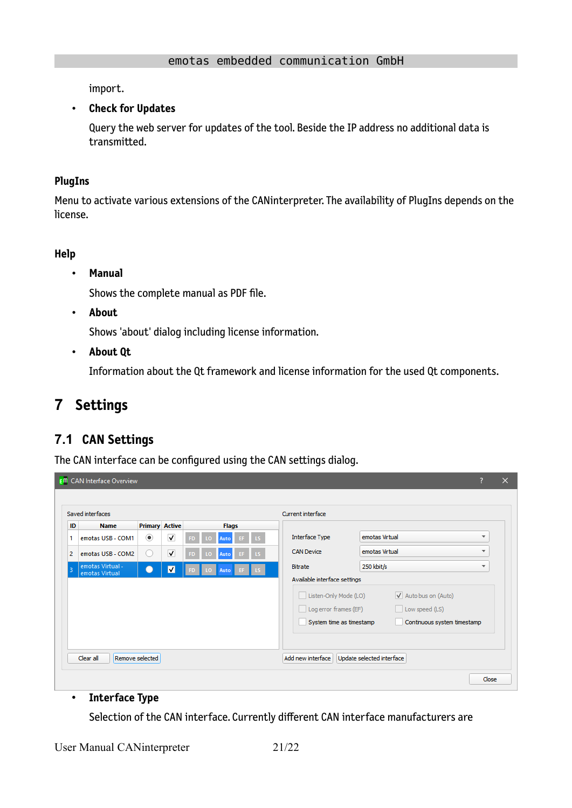import.

#### • **Check for Updates**

Query the web server for updates of the tool. Beside the IP address no additional data is transmitted.

#### **PlugIns**

Menu to activate various extensions of the CANinterpreter. The availability of PlugIns depends on the license.

#### **Help**

• **Manual**

Shows the complete manual as PDF file.

• **About**

Shows 'about' dialog including license information.

• **About Qt**

Information about the Qt framework and license information for the used Qt components.

# <span id="page-20-1"></span>**7 Settings**

# <span id="page-20-0"></span>**7.1 CAN Settings**

The CAN interface can be configured using the CAN settings dialog.

| <b>Primary Active</b><br><b>Name</b><br><b>Flags</b><br>$_{\scriptscriptstyle\odot}$<br>$\blacktriangledown$<br><b>Interface Type</b><br>emotas Virtual<br>$\overline{\mathbf{v}}$<br>emotas USB - COM1<br>15<br>Ю<br>Auto<br><b>CAN Device</b><br>emotas Virtual<br>$\overline{\phantom{a}}$<br>$\overline{\mathsf{v}}$<br>emotas USB - COM2<br>( )<br>Auto<br>3D)<br>ю<br>emotas Virtual -<br>250 kbit/s<br><b>Bitrate</b><br>▼<br>$\overline{\mathbf{v}}$<br>Auto<br>emotas Virtual<br>Available interface settings<br>Listen-Only Mode (LO)<br>V Auto bus on (Auto)<br>$\Box$ Log error frames (EF)<br>Low speed (LS)<br>System time as timestamp<br>Continuous system timestamp |    | Saved interfaces |  |  |  | Current interface |  |
|--------------------------------------------------------------------------------------------------------------------------------------------------------------------------------------------------------------------------------------------------------------------------------------------------------------------------------------------------------------------------------------------------------------------------------------------------------------------------------------------------------------------------------------------------------------------------------------------------------------------------------------------------------------------------------------|----|------------------|--|--|--|-------------------|--|
|                                                                                                                                                                                                                                                                                                                                                                                                                                                                                                                                                                                                                                                                                      | ID |                  |  |  |  |                   |  |
|                                                                                                                                                                                                                                                                                                                                                                                                                                                                                                                                                                                                                                                                                      |    |                  |  |  |  |                   |  |
|                                                                                                                                                                                                                                                                                                                                                                                                                                                                                                                                                                                                                                                                                      |    |                  |  |  |  |                   |  |
|                                                                                                                                                                                                                                                                                                                                                                                                                                                                                                                                                                                                                                                                                      |    |                  |  |  |  |                   |  |
|                                                                                                                                                                                                                                                                                                                                                                                                                                                                                                                                                                                                                                                                                      |    |                  |  |  |  |                   |  |

#### • **Interface Type**

Selection of the CAN interface. Currently different CAN interface manufacturers are

User Manual CANinterpreter 21/22